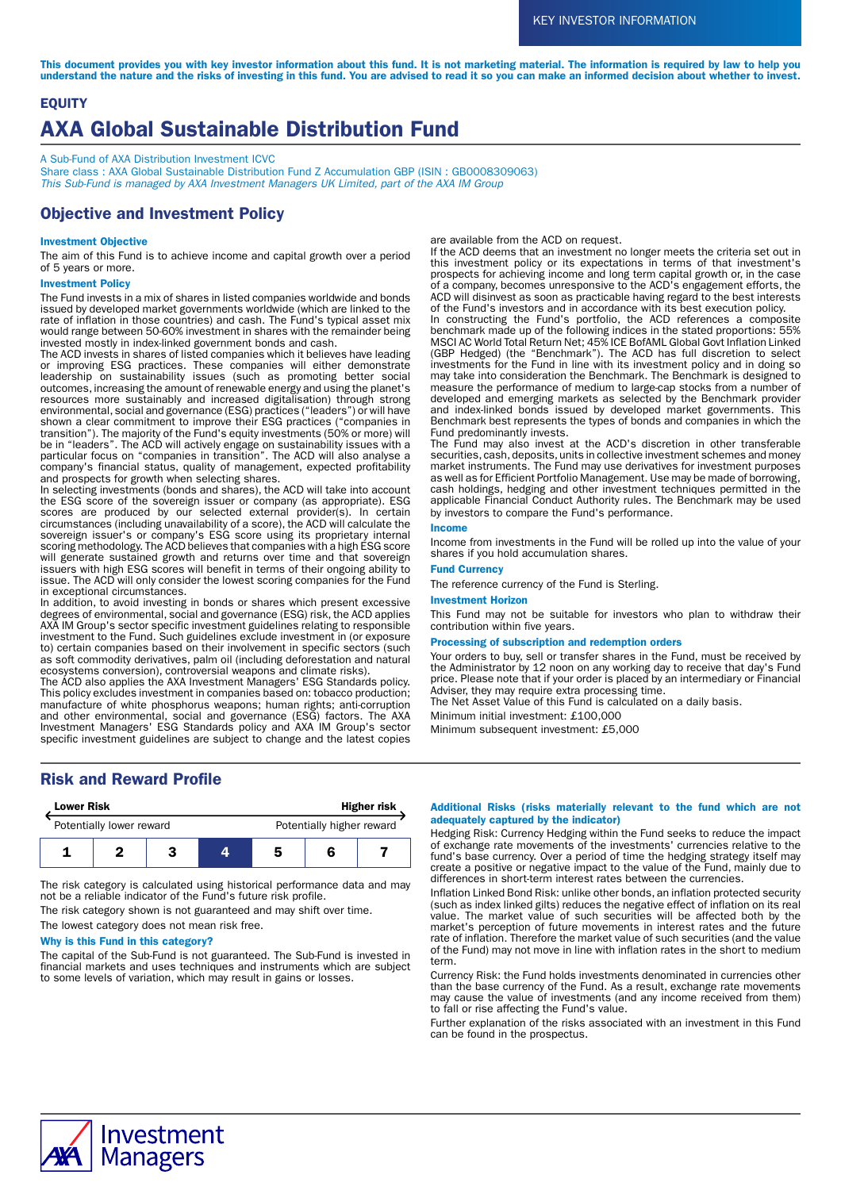This document provides you with key investor information about this fund. It is not marketing material. The information is required by law to help you understand the nature and the risks of investing in this fund. You are advised to read it so you can make an informed decision about whether to invest.

# EQUITY AXA Global Sustainable Distribution Fund

A Sub-Fund of AXA Distribution Investment ICVC

Share class : AXA Global Sustainable Distribution Fund Z Accumulation GBP (ISIN : GB0008309063) This Sub-Fund is managed by AXA Investment Managers UK Limited, part of the AXA IM Group

# Objective and Investment Policy

### Investment Objective

The aim of this Fund is to achieve income and capital growth over a period of 5 years or more.

#### Investment Policy

The Fund invests in a mix of shares in listed companies worldwide and bonds issued by developed market governments worldwide (which are linked to the rate of inflation in those countries) and cash. The Fund's typical asset mix would range between 50-60% investment in shares with the remainder being invested mostly in index-linked government bonds and cash.

The ACD invests in shares of listed companies which it believes have leading or improving ESG practices. These companies will either demonstrate leadership on sustainability issues (such as promoting better social outcomes, increasing the amount of renewable energy and using the planet's resources more sustainably and increased digitalisation) through strong environmental, social and governance (ESG) practices ("leaders") or will have shown a clear commitment to improve their ESG practices ("companies in transition"). The majority of the Fund's equity investments (50% or more) will be in "leaders". The ACD will actively engage on sustainability issues with a particular focus on "companies in transition". The ACD will also analyse a company's financial status, quality of management, expected profitability and prospects for growth when selecting shares.

In selecting investments (bonds and shares), the ACD will take into account the ESG score of the sovereign issuer or company (as appropriate). ESG scores are produced by our selected external provider(s). In certain circumstances (including unavailability of a score), the ACD will calculate the sovereign issuer's or company's ESG score using its proprietary internal scoring methodology. The ACD believes that companies with a high ESG score will generate sustained growth and returns over time and that sovereign issuers with high ESG scores will benefit in terms of their ongoing ability to issue. The ACD will only consider the lowest scoring companies for the Fund in exceptional circumstances.

In addition, to avoid investing in bonds or shares which present excessive degrees of environmental, social and governance (ESG) risk, the ACD applies AXA IM Group's sector specific investment guidelines relating to responsible investment to the Fund. Such guidelines exclude investment in (or exposure to) certain companies based on their involvement in specific sectors (such as soft commodity derivatives, palm oil (including deforestation and natural ecosystems conversion), controversial weapons and climate risks).

The ACD also applies the AXA Investment Managers' ESG Standards policy. This policy excludes investment in companies based on: tobacco production; manufacture of white phosphorus weapons; human rights; anti-corruption and other environmental, social and governance (ESG) factors. The AXA Investment Managers' ESG Standards policy and AXA IM Group's sector specific investment guidelines are subject to change and the latest copies are available from the ACD on request.

If the ACD deems that an investment no longer meets the criteria set out in this investment policy or its expectations in terms of that investment's prospects for achieving income and long term capital growth or, in the case of a company, becomes unresponsive to the ACD's engagement efforts, the ACD will disinvest as soon as practicable having regard to the best interests of the Fund's investors and in accordance with its best execution policy.

In constructing the Fund's portfolio, the ACD references a composite benchmark made up of the following indices in the stated proportions: 55% MSCI AC World Total Return Net; 45% ICE BofAML Global Govt Inflation Linked (GBP Hedged) (the "Benchmark"). The ACD has full discretion to select investments for the Fund in line with its investment policy and in doing so may take into consideration the Benchmark. The Benchmark is designed to measure the performance of medium to large-cap stocks from a number of developed and emerging markets as selected by the Benchmark provider and index-linked bonds issued by developed market governments. This Benchmark best represents the types of bonds and companies in which the Fund predominantly invests.

The Fund may also invest at the ACD's discretion in other transferable securities, cash, deposits, units in collective investment schemes and money market instruments. The Fund may use derivatives for investment purposes as well as for Efficient Portfolio Management. Use may be made of borrowing, cash holdings, hedging and other investment techniques permitted in the applicable Financial Conduct Authority rules. The Benchmark may be used by investors to compare the Fund's performance.

#### Income

Income from investments in the Fund will be rolled up into the value of your shares if you hold accumulation shares.

## Fund Currency

The reference currency of the Fund is Sterling.

#### Investment Horizon

This Fund may not be suitable for investors who plan to withdraw their contribution within five years.

#### Processing of subscription and redemption orders

Your orders to buy, sell or transfer shares in the Fund, must be received by the Administrator by 12 noon on any working day to receive that day's Fund price. Please note that if your order is placed by an intermediary or Financial Adviser, they may require extra processing time.

The Net Asset Value of this Fund is calculated on a daily basis.

Minimum initial investment: £100,000

Minimum subsequent investment: £5,000

# Risk and Reward Profile

| <b>Lower Risk</b>        |  |  | <b>Higher risk</b> |                           |  |  |
|--------------------------|--|--|--------------------|---------------------------|--|--|
| Potentially lower reward |  |  |                    | Potentially higher reward |  |  |
|                          |  |  |                    | 5                         |  |  |

The risk category is calculated using historical performance data and may not be a reliable indicator of the Fund's future risk profile.

The risk category shown is not guaranteed and may shift over time.

The lowest category does not mean risk free.

# Why is this Fund in this category?

The capital of the Sub-Fund is not guaranteed. The Sub-Fund is invested in financial markets and uses techniques and instruments which are subject to some levels of variation, which may result in gains or losses.

#### Additional Risks (risks materially relevant to the fund which are not adequately captured by the indicator)

Hedging Risk: Currency Hedging within the Fund seeks to reduce the impact of exchange rate movements of the investments' currencies relative to the fund's base currency. Over a period of time the hedging strategy itself may create a positive or negative impact to the value of the Fund, mainly due to differences in short-term interest rates between the currencies.

Inflation Linked Bond Risk: unlike other bonds, an inflation protected security (such as index linked gilts) reduces the negative effect of inflation on its real value. The market value of such securities will be affected both by the market's perception of future movements in interest rates and the future rate of inflation. Therefore the market value of such securities (and the value of the Fund) may not move in line with inflation rates in the short to medium term.

Currency Risk: the Fund holds investments denominated in currencies other than the base currency of the Fund. As a result, exchange rate movements may cause the value of investments (and any income received from them) to fall or rise affecting the Fund's value.

Further explanation of the risks associated with an investment in this Fund can be found in the prospectus.